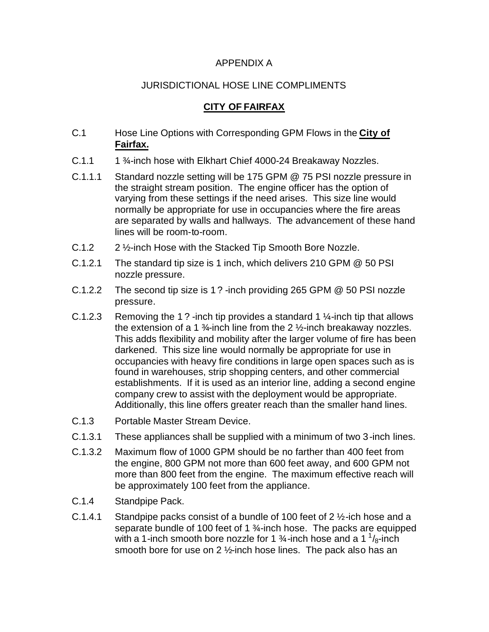## APPENDIX A

## JURISDICTIONAL HOSE LINE COMPLIMENTS

## **CITY OF FAIRFAX**

- C.1 Hose Line Options with Corresponding GPM Flows in the **City of Fairfax.**
- C.1.1 1 <sup>3</sup>/<sub>4</sub>-inch hose with Elkhart Chief 4000-24 Breakaway Nozzles.
- C.1.1.1 Standard nozzle setting will be 175 GPM @ 75 PSI nozzle pressure in the straight stream position. The engine officer has the option of varying from these settings if the need arises. This size line would normally be appropriate for use in occupancies where the fire areas are separated by walls and hallways. The advancement of these hand lines will be room-to-room.
- C.1.2 2 ½-inch Hose with the Stacked Tip Smooth Bore Nozzle.
- C.1.2.1 The standard tip size is 1 inch, which delivers 210 GPM @ 50 PSI nozzle pressure.
- C.1.2.2 The second tip size is 1 ? -inch providing 265 GPM @ 50 PSI nozzle pressure.
- C.1.2.3 Removing the 1? -inch tip provides a standard 1  $\frac{1}{2}$ -inch tip that allows the extension of a 1  $\frac{3}{4}$ -inch line from the 2  $\frac{1}{2}$ -inch breakaway nozzles. This adds flexibility and mobility after the larger volume of fire has been darkened. This size line would normally be appropriate for use in occupancies with heavy fire conditions in large open spaces such as is found in warehouses, strip shopping centers, and other commercial establishments. If it is used as an interior line, adding a second engine company crew to assist with the deployment would be appropriate. Additionally, this line offers greater reach than the smaller hand lines.
- C.1.3 Portable Master Stream Device.
- C.1.3.1 These appliances shall be supplied with a minimum of two 3-inch lines.
- C.1.3.2 Maximum flow of 1000 GPM should be no farther than 400 feet from the engine, 800 GPM not more than 600 feet away, and 600 GPM not more than 800 feet from the engine. The maximum effective reach will be approximately 100 feet from the appliance.
- C.1.4 Standpipe Pack.
- C.1.4.1 Standpipe packs consist of a bundle of 100 feet of  $2\frac{1}{2}$ -ich hose and a separate bundle of 100 feet of 1 3/<sub>4</sub>-inch hose. The packs are equipped with a 1-inch smooth bore nozzle for 1  $\frac{3}{4}$ -inch hose and a 1  $\frac{1}{8}$ -inch smooth bore for use on 2 1/<sub>2</sub>-inch hose lines. The pack also has an